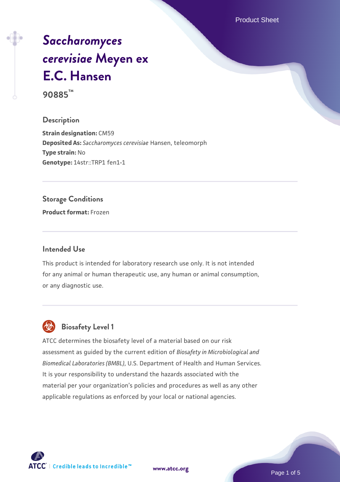Product Sheet

# *[Saccharomyces](https://www.atcc.org/products/90885) [cerevisiae](https://www.atcc.org/products/90885)* **[Meyen ex](https://www.atcc.org/products/90885) [E.C. Hansen](https://www.atcc.org/products/90885)**

**90885™**

#### **Description**

**Strain designation:** CM59 **Deposited As:** *Saccharomyces cerevisiae* Hansen, teleomorph **Type strain:** No **Genotype:** 14str::TRP1 fen1-1

#### **Storage Conditions**

**Product format:** Frozen

#### **Intended Use**

This product is intended for laboratory research use only. It is not intended for any animal or human therapeutic use, any human or animal consumption, or any diagnostic use.



# **Biosafety Level 1**

ATCC determines the biosafety level of a material based on our risk assessment as guided by the current edition of *Biosafety in Microbiological and Biomedical Laboratories (BMBL)*, U.S. Department of Health and Human Services. It is your responsibility to understand the hazards associated with the material per your organization's policies and procedures as well as any other applicable regulations as enforced by your local or national agencies.

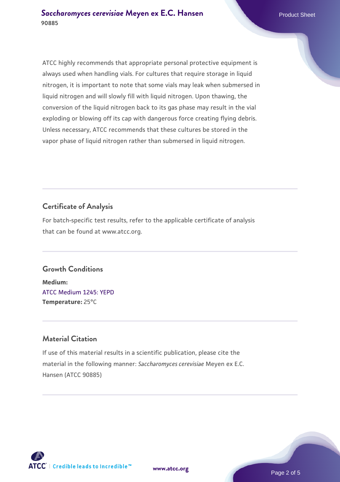ATCC highly recommends that appropriate personal protective equipment is always used when handling vials. For cultures that require storage in liquid nitrogen, it is important to note that some vials may leak when submersed in liquid nitrogen and will slowly fill with liquid nitrogen. Upon thawing, the conversion of the liquid nitrogen back to its gas phase may result in the vial exploding or blowing off its cap with dangerous force creating flying debris. Unless necessary, ATCC recommends that these cultures be stored in the vapor phase of liquid nitrogen rather than submersed in liquid nitrogen.

### **Certificate of Analysis**

For batch-specific test results, refer to the applicable certificate of analysis that can be found at www.atcc.org.

# **Growth Conditions**

**Medium:**  [ATCC Medium 1245: YEPD](https://www.atcc.org/-/media/product-assets/documents/microbial-media-formulations/1/2/4/5/atcc-medium-1245.pdf?rev=705ca55d1b6f490a808a965d5c072196) **Temperature:** 25°C

### **Material Citation**

If use of this material results in a scientific publication, please cite the material in the following manner: *Saccharomyces cerevisiae* Meyen ex E.C. Hansen (ATCC 90885)

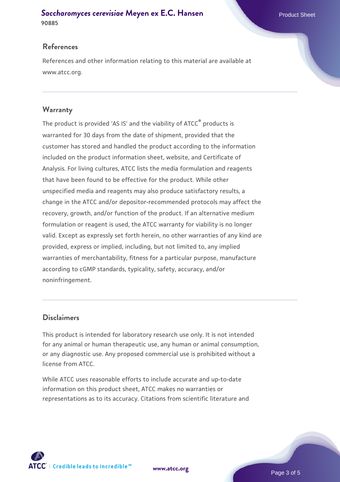#### **[Saccharomyces cerevisiae](https://www.atcc.org/products/90885)** [Meyen ex E.C. Hansen](https://www.atcc.org/products/90885) **90885**

#### **References**

References and other information relating to this material are available at www.atcc.org.

#### **Warranty**

The product is provided 'AS IS' and the viability of ATCC® products is warranted for 30 days from the date of shipment, provided that the customer has stored and handled the product according to the information included on the product information sheet, website, and Certificate of Analysis. For living cultures, ATCC lists the media formulation and reagents that have been found to be effective for the product. While other unspecified media and reagents may also produce satisfactory results, a change in the ATCC and/or depositor-recommended protocols may affect the recovery, growth, and/or function of the product. If an alternative medium formulation or reagent is used, the ATCC warranty for viability is no longer valid. Except as expressly set forth herein, no other warranties of any kind are provided, express or implied, including, but not limited to, any implied warranties of merchantability, fitness for a particular purpose, manufacture according to cGMP standards, typicality, safety, accuracy, and/or noninfringement.

#### **Disclaimers**

This product is intended for laboratory research use only. It is not intended for any animal or human therapeutic use, any human or animal consumption, or any diagnostic use. Any proposed commercial use is prohibited without a license from ATCC.

While ATCC uses reasonable efforts to include accurate and up-to-date information on this product sheet, ATCC makes no warranties or representations as to its accuracy. Citations from scientific literature and



**[www.atcc.org](http://www.atcc.org)**

Page 3 of 5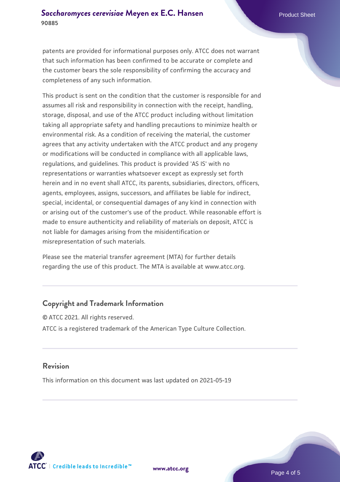patents are provided for informational purposes only. ATCC does not warrant that such information has been confirmed to be accurate or complete and the customer bears the sole responsibility of confirming the accuracy and completeness of any such information.

This product is sent on the condition that the customer is responsible for and assumes all risk and responsibility in connection with the receipt, handling, storage, disposal, and use of the ATCC product including without limitation taking all appropriate safety and handling precautions to minimize health or environmental risk. As a condition of receiving the material, the customer agrees that any activity undertaken with the ATCC product and any progeny or modifications will be conducted in compliance with all applicable laws, regulations, and guidelines. This product is provided 'AS IS' with no representations or warranties whatsoever except as expressly set forth herein and in no event shall ATCC, its parents, subsidiaries, directors, officers, agents, employees, assigns, successors, and affiliates be liable for indirect, special, incidental, or consequential damages of any kind in connection with or arising out of the customer's use of the product. While reasonable effort is made to ensure authenticity and reliability of materials on deposit, ATCC is not liable for damages arising from the misidentification or misrepresentation of such materials.

Please see the material transfer agreement (MTA) for further details regarding the use of this product. The MTA is available at www.atcc.org.

#### **Copyright and Trademark Information**

© ATCC 2021. All rights reserved. ATCC is a registered trademark of the American Type Culture Collection.

#### **Revision**

This information on this document was last updated on 2021-05-19



**[www.atcc.org](http://www.atcc.org)**